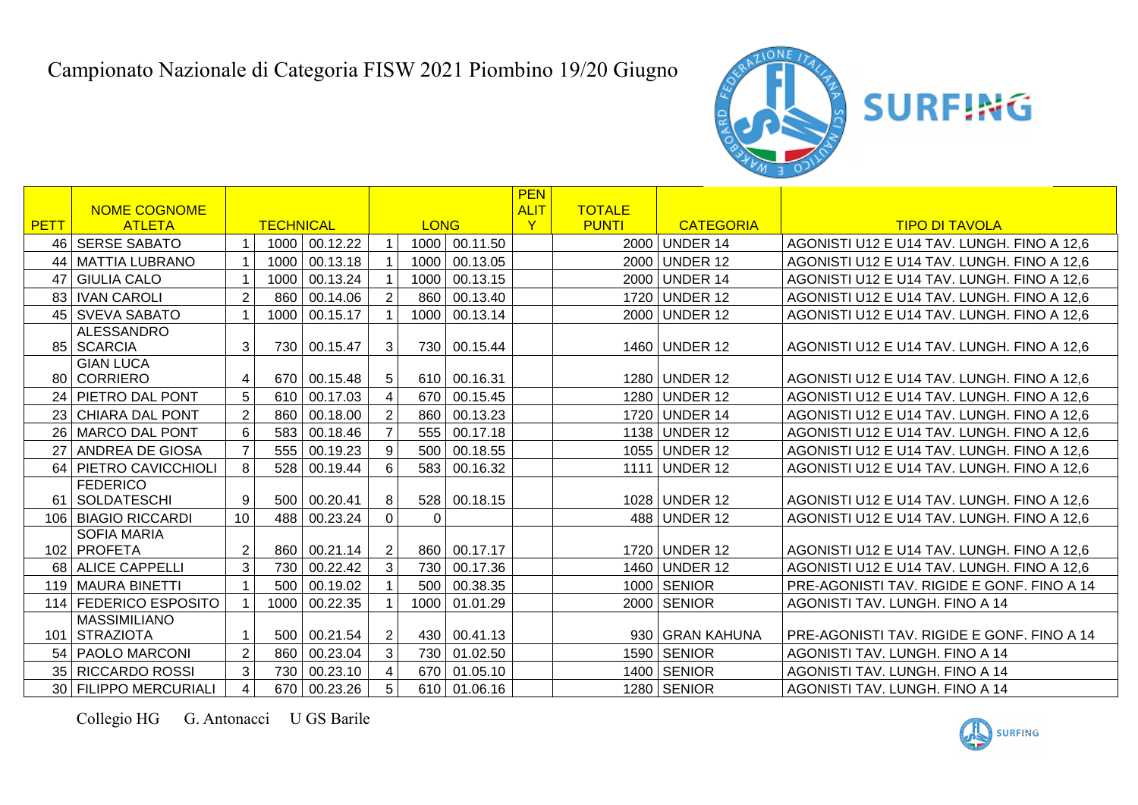

|      |                         |                  |                  |              |                |              |          | <b>PEN</b>  |               |                  |                                            |
|------|-------------------------|------------------|------------------|--------------|----------------|--------------|----------|-------------|---------------|------------------|--------------------------------------------|
|      | <b>NOME COGNOME</b>     |                  |                  |              |                |              |          | <b>ALIT</b> | <b>TOTALE</b> |                  |                                            |
| PETT | <b>ATLETA</b>           | <b>TECHNICAL</b> |                  |              | <b>LONG</b>    |              |          |             | <b>PUNTI</b>  | <b>CATEGORIA</b> | <b>TIPO DI TAVOLA</b>                      |
|      | 46   SERSE SABATO       |                  | 1000             | 00.12.22     |                | 1000         | 00.11.50 |             | 2000          | <b>UNDER 14</b>  | AGONISTI U12 E U14 TAV. LUNGH. FINO A 12,6 |
| 44   | <b>MATTIA LUBRANO</b>   |                  | 1000             | 00.13.18     |                | 1000         | 00.13.05 |             | 2000          | <b>UNDER 12</b>  | AGONISTI U12 E U14 TAV. LUNGH. FINO A 12,6 |
| 47   | <b>GIULIA CALO</b>      |                  | 1000             | 00.13.24     |                | 1000         | 00.13.15 |             | 2000          | <b>UNDER 14</b>  | AGONISTI U12 E U14 TAV. LUNGH. FINO A 12,6 |
|      | 83   IVAN CAROLI        | $\overline{2}$   | 860              | 00.14.06     |                | 860          | 00.13.40 |             |               | 1720 UNDER 12    | AGONISTI U12 E U14 TAV. LUNGH. FINO A 12,6 |
|      | 45 SVEVA SABATO         |                  | 1000             | 00.15.17     |                | 1000         | 00.13.14 |             | 2000          | <b>UNDER 12</b>  | AGONISTI U12 E U14 TAV. LUNGH. FINO A 12,6 |
|      | <b>ALESSANDRO</b>       |                  |                  |              |                |              |          |             |               |                  |                                            |
|      | 85 SCARCIA              | 3                | 730              | 00.15.47     | 3              | 730          | 00.15.44 |             |               | 1460 UNDER 12    | AGONISTI U12 E U14 TAV. LUNGH. FINO A 12,6 |
|      | <b>GIAN LUCA</b>        |                  |                  |              |                |              |          |             |               |                  |                                            |
|      | 80 CORRIERO             |                  | 670              | 00.15.48     | 5              | 610          | 00.16.31 |             |               | 1280 UNDER 12    | AGONISTI U12 E U14 TAV. LUNGH. FINO A 12,6 |
|      | 24 PIETRO DAL PONT      | 5                | 610              | 00.17.03     | 4              | 670          | 00.15.45 |             | 1280          | <b>UNDER 12</b>  | AGONISTI U12 E U14 TAV. LUNGH. FINO A 12,6 |
|      | 23 CHIARA DAL PONT      | $\overline{2}$   | 860              | 00.18.00     | $\overline{2}$ | 860          | 00.13.23 |             |               | 1720 UNDER 14    | AGONISTI U12 E U14 TAV. LUNGH. FINO A 12,6 |
| 26   | MARCO DAL PONT          | 6                | 583              | 00.18.46     |                | 555          | 00.17.18 |             |               | 1138 UNDER 12    | AGONISTI U12 E U14 TAV. LUNGH. FINO A 12,6 |
| 27   | <b>ANDREA DE GIOSA</b>  | $\overline{7}$   | 555              | 00.19.23     | 9              | 500          | 00.18.55 |             | 1055          | <b>UNDER 12</b>  | AGONISTI U12 E U14 TAV. LUNGH. FINO A 12,6 |
|      | 64   PIETRO CAVICCHIOLI | 8                | 528              | 00.19.44     | 6              | 583          | 00.16.32 |             | 1111          | <b>UNDER 12</b>  | AGONISTI U12 E U14 TAV. LUNGH. FINO A 12,6 |
|      | <b>FEDERICO</b>         |                  |                  |              |                |              |          |             |               |                  |                                            |
| 61   | SOLDATESCHI             | 9                | 500 <sub>1</sub> | 00.20.41     | 8              | 528          | 00.18.15 |             |               | 1028 UNDER 12    | AGONISTI U12 E U14 TAV. LUNGH. FINO A 12.6 |
|      | 106 BIAGIO RICCARDI     | 10 <sup>1</sup>  | 488              | 00.23.24     | $\overline{0}$ | $\mathbf{0}$ |          |             | 488           | <b>UNDER 12</b>  | AGONISTI U12 E U14 TAV. LUNGH. FINO A 12,6 |
|      | <b>SOFIA MARIA</b>      |                  |                  |              |                |              |          |             |               |                  |                                            |
|      | 102   PROFETA           | 2                |                  | 860 00.21.14 | 2              | 860          | 00.17.17 |             |               | 1720 UNDER 12    | AGONISTI U12 E U14 TAV. LUNGH. FINO A 12,6 |
|      | 68 ALICE CAPPELLI       | 3                | 730              | 00.22.42     | 3              | 730          | 00.17.36 |             |               | 1460 UNDER 12    | AGONISTI U12 E U14 TAV. LUNGH. FINO A 12.6 |
|      | 119 MAURA BINETTI       |                  | 500              | 00.19.02     |                | 500          | 00.38.35 |             |               | 1000 SENIOR      | PRE-AGONISTI TAV. RIGIDE E GONF. FINO A 14 |
|      | 114 FEDERICO ESPOSITO   |                  | 1000             | 00.22.35     |                | 1000         | 01.01.29 |             |               | 2000 SENIOR      | AGONISTI TAV. LUNGH. FINO A 14             |
|      | <b>MASSIMILIANO</b>     |                  |                  |              |                |              |          |             |               |                  |                                            |
|      | 101 STRAZIOTA           |                  | 500 <sub>1</sub> | 00.21.54     | $\overline{2}$ | 430          | 00.41.13 |             |               | 930 GRAN KAHUNA  | PRE-AGONISTI TAV. RIGIDE E GONF, FINO A 14 |
|      | 54   PAOLO MARCONI      | $\overline{2}$   | 860              | 00.23.04     | 3              | 730          | 01.02.50 |             | 1590          | <b>SENIOR</b>    | AGONISTI TAV. LUNGH. FINO A 14             |
|      | 35   RICCARDO ROSSI     | 3                | 730              | 00.23.10     |                | 670          | 01.05.10 |             | 1400          | <b>SENIOR</b>    | AGONISTI TAV. LUNGH. FINO A 14             |
|      | 30 FILIPPO MERCURIALI   | $\overline{4}$   | 670              | 00.23.26     | 5              | 610          | 01.06.16 |             |               | 1280 SENIOR      | AGONISTI TAV. LUNGH. FINO A 14             |

Collegio HG G. Antonacci U GS Barile

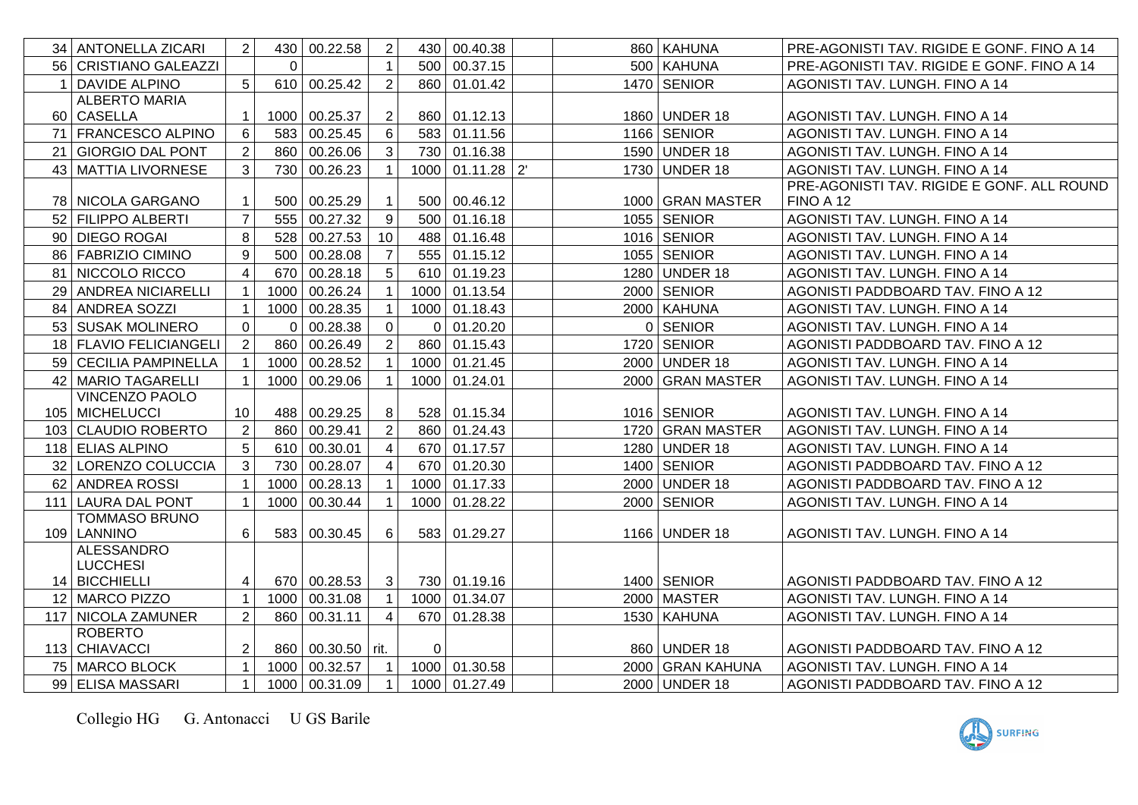|                | 34   ANTONELLA ZICARI  | $\overline{2}$   |          | 430 00.22.58                           | $\overline{2}$ |                | 430 00.40.38  |  | 860 KAHUNA       | PRE-AGONISTI TAV. RIGIDE E GONF. FINO A 14 |
|----------------|------------------------|------------------|----------|----------------------------------------|----------------|----------------|---------------|--|------------------|--------------------------------------------|
|                | 56 CRISTIANO GALEAZZI  |                  | $\Omega$ |                                        |                | 500            | 00.37.15      |  | 500 KAHUNA       | PRE-AGONISTI TAV. RIGIDE E GONF. FINO A 14 |
| $\overline{1}$ | <b>DAVIDE ALPINO</b>   | 5                |          | 610 00.25.42                           | $\overline{2}$ |                | 860 01.01.42  |  | 1470 SENIOR      | AGONISTI TAV. LUNGH. FINO A 14             |
|                | <b>ALBERTO MARIA</b>   |                  |          |                                        |                |                |               |  |                  |                                            |
|                | 60 CASELLA             | 1                |          | 1000 00.25.37                          | 2              |                | 860 01.12.13  |  | 1860 UNDER 18    | AGONISTI TAV. LUNGH. FINO A 14             |
|                | 71 FRANCESCO ALPINO    | 6                |          | 583 00.25.45                           | 6              |                | 583 01.11.56  |  | 1166 SENIOR      | AGONISTI TAV. LUNGH. FINO A 14             |
|                | 21 GIORGIO DAL PONT    | $\overline{2}$   |          | 860 00.26.06                           | 3              |                | 730 01.16.38  |  | 1590 UNDER 18    | AGONISTI TAV. LUNGH. FINO A 14             |
| 43             | MATTIA LIVORNESE       | 3                |          | 730 00.26.23                           |                | 1000           | $01.11.28$ 2  |  | 1730 UNDER 18    | AGONISTI TAV. LUNGH. FINO A 14             |
|                |                        |                  |          |                                        |                |                |               |  |                  | PRE-AGONISTI TAV. RIGIDE E GONF. ALL ROUND |
|                | 78 NICOLA GARGANO      |                  | 500      | 00.25.29                               |                | 500            | 00.46.12      |  | 1000 GRAN MASTER | FINO A 12                                  |
|                | 52   FILIPPO ALBERTI   | $\overline{7}$   |          | 555 00.27.32                           | 9              | 500            | 01.16.18      |  | 1055   SENIOR    | AGONISTI TAV. LUNGH. FINO A 14             |
|                | 90 DIEGO ROGAI         | 8                |          | 528 00.27.53                           | 10             |                | 488 01.16.48  |  | $1016$ SENIOR    | AGONISTI TAV. LUNGH. FINO A 14             |
|                | 86   FABRIZIO CIMINO   | $\boldsymbol{9}$ |          | 500 00.28.08                           |                |                | 555 01.15.12  |  | 1055 SENIOR      | AGONISTI TAV. LUNGH. FINO A 14             |
|                | 81 NICCOLO RICCO       | $\overline{4}$   |          | 670 00.28.18                           | 5              |                | 610 01.19.23  |  | 1280 UNDER 18    | AGONISTI TAV. LUNGH. FINO A 14             |
|                | 29 ANDREA NICIARELLI   | $\mathbf{1}$     |          | 1000 00.26.24                          |                |                | 1000 01.13.54 |  | 2000 SENIOR      | AGONISTI PADDBOARD TAV. FINO A 12          |
|                | 84 ANDREA SOZZI        | $\mathbf 1$      |          | 1000 00.28.35                          |                |                | 1000 01.18.43 |  | 2000 KAHUNA      | AGONISTI TAV. LUNGH. FINO A 14             |
|                | 53 SUSAK MOLINERO      | $\overline{0}$   | $\Omega$ | 00.28.38                               | $\mathbf 0$    | $\Omega$       | 01.20.20      |  | 0 SENIOR         | AGONISTI TAV. LUNGH. FINO A 14             |
|                | 18 FLAVIO FELICIANGELI | $\overline{2}$   |          | 860 00.26.49                           | $\overline{2}$ |                | 860 01.15.43  |  | 1720 SENIOR      | AGONISTI PADDBOARD TAV. FINO A 12          |
|                | 59 CECILIA PAMPINELLA  |                  |          | 1000 00.28.52                          |                |                | 1000 01.21.45 |  | 2000 UNDER 18    | AGONISTI TAV. LUNGH. FINO A 14             |
|                | 42 MARIO TAGARELLI     |                  | 1000     | 00.29.06                               |                | 1000           | 01.24.01      |  | 2000 GRAN MASTER | AGONISTI TAV. LUNGH. FINO A 14             |
|                | VINCENZO PAOLO         |                  |          |                                        |                |                |               |  |                  |                                            |
|                | 105 MICHELUCCI         | 10               |          | 488 00.29.25                           | 8              |                | 528 01.15.34  |  | 1016 SENIOR      | AGONISTI TAV. LUNGH. FINO A 14             |
|                | 103 CLAUDIO ROBERTO    | $\overline{2}$   |          | 860 00.29.41                           | $\overline{2}$ |                | 860 01.24.43  |  | 1720 GRAN MASTER | AGONISTI TAV. LUNGH. FINO A 14             |
|                | 118 ELIAS ALPINO       | 5                |          | 610 00.30.01                           |                |                | 670 01.17.57  |  | 1280 UNDER 18    | AGONISTI TAV. LUNGH. FINO A 14             |
|                | 32 LORENZO COLUCCIA    | 3                |          | 730 00.28.07                           |                |                | 670 01.20.30  |  | 1400 SENIOR      | AGONISTI PADDBOARD TAV. FINO A 12          |
|                | 62 ANDREA ROSSI        |                  |          | 1000 00.28.13                          |                |                | 1000 01.17.33 |  | 2000 UNDER 18    | AGONISTI PADDBOARD TAV. FINO A 12          |
|                | 111 LAURA DAL PONT     |                  | 1000     | 00.30.44                               |                | 1000           | 01.28.22      |  | 2000 SENIOR      | AGONISTI TAV. LUNGH. FINO A 14             |
|                | <b>TOMMASO BRUNO</b>   |                  |          |                                        |                |                |               |  |                  |                                            |
|                | 109 LANNINO            | $\,6\,$          |          | 583 00.30.45                           | 6              | 583            | 01.29.27      |  | 1166 UNDER 18    | AGONISTI TAV. LUNGH. FINO A 14             |
|                | <b>ALESSANDRO</b>      |                  |          |                                        |                |                |               |  |                  |                                            |
|                | <b>LUCCHESI</b>        |                  |          |                                        |                |                |               |  |                  |                                            |
|                | 14 BICCHIELLI          | 4                |          | 670 00.28.53                           | 3              |                | 730 01.19.16  |  | $1400$ SENIOR    | AGONISTI PADDBOARD TAV. FINO A 12          |
|                | 12 MARCO PIZZO         |                  | 1000     | 00.31.08                               |                |                | 1000 01.34.07 |  | 2000 MASTER      | AGONISTI TAV. LUNGH. FINO A 14             |
|                | 117 NICOLA ZAMUNER     | $\overline{2}$   | 860      | 00.31.11                               | 4              | 670 l          | 01.28.38      |  | 1530   KAHUNA    | AGONISTI TAV. LUNGH. FINO A 14             |
|                | <b>ROBERTO</b>         |                  |          |                                        |                |                |               |  | 860 UNDER 18     |                                            |
|                | 113 CHIAVACCI          | $\overline{2}$   |          | 860   00.30.50   rit.<br>1000 00.32.57 |                | $\overline{0}$ | 1000 01.30.58 |  |                  | AGONISTI PADDBOARD TAV. FINO A 12          |
|                | 75 MARCO BLOCK         | $\mathbf 1$      |          |                                        |                |                |               |  | 2000 GRAN KAHUNA | AGONISTI TAV. LUNGH. FINO A 14             |
|                | 99 ELISA MASSARI       | $\mathbf{1}$     |          | 1000 00.31.09                          | $\mathbf 1$    |                | 1000 01.27.49 |  | 2000 UNDER 18    | AGONISTI PADDBOARD TAV. FINO A 12          |